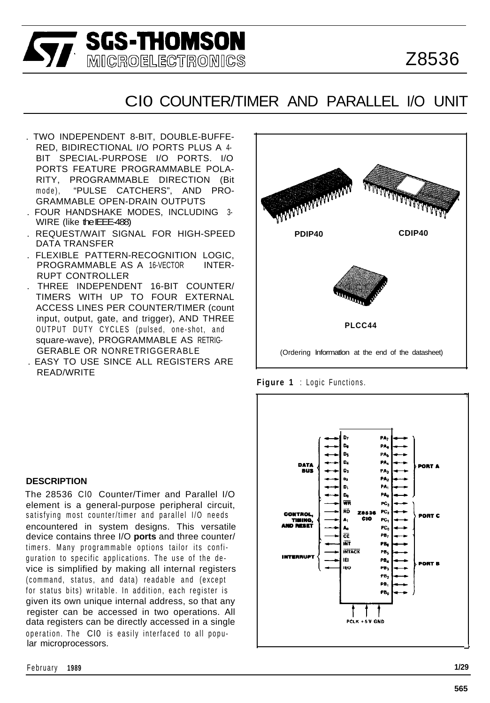Z8536

# Cl0 COUNTER/TIMER AND PARALLEL I/O UNIT

. TWO INDEPENDENT 8-BIT, DOUBLE-BUFFE-RED, BIDIRECTIONAL I/O PORTS PLUS A 4- BIT SPECIAL-PURPOSE I/O PORTS. I/O PORTS FEATURE PROGRAMMABLE POLA-RITY, PROGRAMMABLE DIRECTION (Bit mode), "PULSE CATCHERS", AND PRO-GRAMMABLE OPEN-DRAIN OUTPUTS

**SGS-THOMSON**<br>**Sy** Microelectronics

- . FOUR HANDSHAKE MODES, INCLUDING 3- WIRE (like the IEEE-488)
- . REQUEST/WAIT SIGNAL FOR HIGH-SPEED DATA TRANSFER
- . FLEXIBLE PATTERN-RECOGNITION LOGIC, PROGRAMMABLE AS A 16-VECTOR INTER-RUPT CONTROLLER
- . THREE INDEPENDENT 16-BIT COUNTER/ TIMERS WITH UP TO FOUR EXTERNAL ACCESS LINES PER COUNTER/TIMER (count input, output, gate, and trigger), AND THREE OUTPUT DUTY CYCLES (pulsed, one-shot, and square-wave), PROGRAMMABLE AS RETRIG-GERABLE OR NONRETRIGGERABLE
- . EASY TO USE SINCE ALL REGISTERS ARE READ/WRITE



**Figure 1** : Logic Functions.



#### **DESCRIPTION**

The 28536 Cl0 Counter/Timer and Parallel I/O element is a general-purpose peripheral circuit, satisfying most counter/timer and parallel I/O needs encountered in system designs. This versatile device contains three I/O **ports** and three counter/ timers. Many programmable options tailor its configuration to specific applications. The use of the device is simplified by making all internal registers (command, status, and data) readable and (except for status bits) writable. In addition, each register is given its own unique internal address, so that any register can be accessed in two operations. All data registers can be directly accessed in a single operation. The Cl0 is easily interfaced to all popular microprocessors.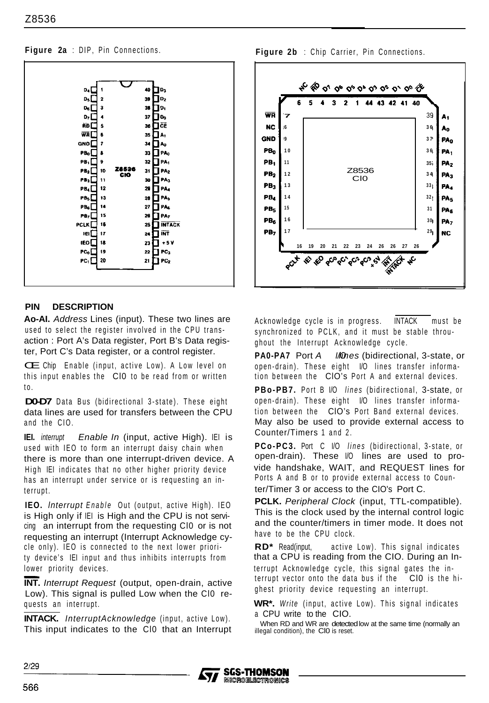

# **PIN DESCRIPTION**

**Ao-AI.** *Address* Lines (input). These two lines are used to select the register involved in the CPU transaction : Port A's Data register, Port B's Data register, Port C's Data register, or a control register.

CE Chip Enable (input, active Low). A Low level on this input enables the Cl0 to be read from or written to.

**D0-D7** Data Bus (bidirectional 3-state). These eight data lines are used for transfers between the CPU and the CIO.

**IEI.** *interrupt Enable In* (input, active High). IEI is used with IEO to form an interrupt daisy chain when there is more than one interrupt-driven device. A High IEI indicates that no other higher priority device has an interrupt under service or is requesting an interrupt.

**IEO.** *lnterrupt Enable* Out (output, active High). IEO is High only if IEI is High and the CPU is not servicing an interrupt from the requesting Cl0 or is not requesting an interrupt (Interrupt Acknowledge cycle only). IEO is connected to the next lower priority device's IEI input and thus inhibits interrupts from lower priority devices. cle<br>ty d<br>Iowe<br>INT

**INT.** *Interrupt Request* (output, open-drain, active Low). This signal is pulled Low when the CIO requests an interrupt.

**INTACK.** *InterruptAcknowledge* (input, active Low). This input indicates to the Cl0 that an Interrupt

**Figure 2a** : DIP, Pin Connections. **Figure 2b** : Chip Carrier, Pin Connections.



Acknowledge cycle is in progress. INTACK must be synchronized to PCLK, and it must be stable throughout the Interrupt Acknowledge cycle.

**PA0-PA7** Port *A I/Ones* (bidirectional, 3-state, or open-drain). These eight I/O lines transfer information between the ClO's Port A and external devices.

**PBo-PB7.** Port B I/O *lines* (bidirectional, 3-state, or open-drain). These eight I/O lines transfer information between the ClO's Port Band external devices. May also be used to provide external access to Counter/Timers 1 and 2.

**PCo-PC3.** Port C I/O *lines* (bidirectional, 3-state, or open-drain). These I/O lines are used to provide handshake, WAIT, and REQUEST lines for Ports A and B or to provide external access to Counter/Timer 3 or access to the CIO's Port C.

**PCLK.** *Peripheral Clock* (input, TTL-compatible). This is the clock used by the internal control logic and the counter/timers in timer mode. It does not have to be the CPU clock.

**RD\*** Read(input, active Low). This signal indicates that a CPU is reading from the CIO. During an Interrupt Acknowledge cycle, this signal gates the interrupt vector onto the data bus if the Cl0 is the highest priority device requesting an interrupt.

**WR\*.** *Write* (input, active Low). This signal indicates <sup>a</sup> CPU write to the CIO.

When RD and WR are detected low at the same time (normally an illegal condition), the Cl0 is reset.

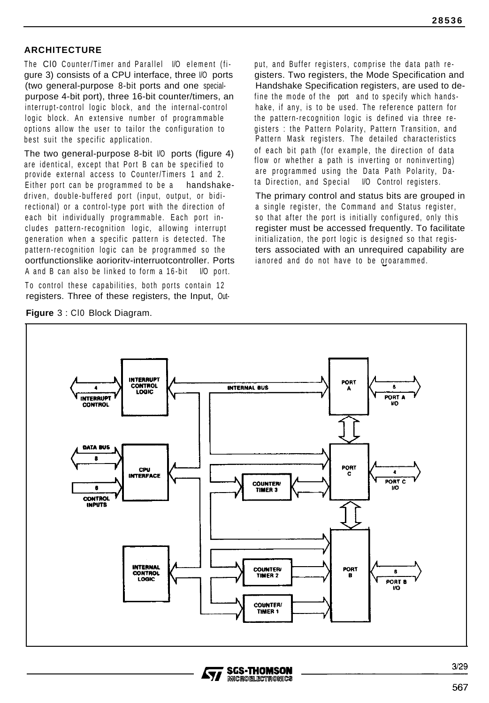# **ARCHITECTURE**

The Cl0 Counter/Timer and Parallel I/O element (figure 3) consists of a CPU interface, three I/O ports (two general-purpose 8-bit ports and one specialpurpose 4-bit port), three 16-bit counter/timers, an interrupt-control logic block, and the internal-control logic block. An extensive number of programmable options allow the user to tailor the configuration to best suit the specific application.

The two general-purpose 8-bit I/O ports (figure 4) are identical, except that Port B can be specified to provide external access to Counter/Timers 1 and 2. Either port can be programmed to be a handshakedriven, double-buffered port (input, output, or bidirectional) or a control-type port with the direction of each bit individually programmable. Each port includes pattern-recognition logic, allowing interrupt generation when a specific pattern is detected. The pattern-recognition logic can be programmed so the oortfunctionslike aorioritv-interruotcontroller. Ports A and B can also be linked to form a 16-bit I/O port.

To control these capabilities, both ports contain 12 registers. Three of these registers, the Input, Out-

**Figure** 3 : Cl0 Block Diagram.

put, and Buffer registers, comprise the data path registers. Two registers, the Mode Specification and Handshake Specification registers, are used to define the mode of the port and to specify which handshake, if any, is to be used. The reference pattern for the pattern-recognition logic is defined via three registers : the Pattern Polarity, Pattern Transition, and Pattern Mask registers. The detailed characteristics of each bit path (for example, the direction of data flow or whether a path is inverting or noninverting) are programmed using the Data Path Polarity, Data Direction, and Special I/O Control registers.

The primary control and status bits are grouped in a single register, the Command and Status register, so that after the port is initially configured, only this register must be accessed frequently. To facilitate initialization, the port logic is designed so that registers associated with an unrequired capability are ianored and do not have to be oroarammed. I



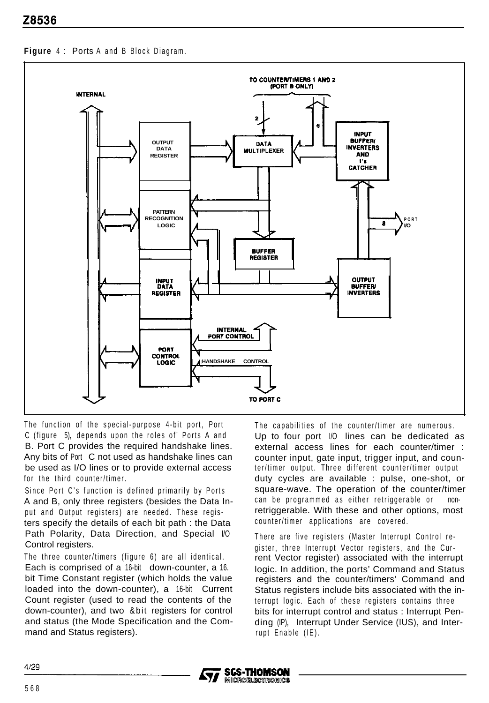**Figure** 4 : Ports A and B Block Diagram.



The function of the special-purpose 4-bit port, Port C (figure 5), depends upon the roles of' Ports A and B. Port C provides the required handshake lines. Any bits of Port C not used as handshake lines can be used as I/O lines or to provide external access for the third counter/timer.

Since Port C's function is defined primarily by Ports A and B, only three registers (besides the Data Input and Output registers) are needed. These registers specify the details of each bit path : the Data Path Polarity, Data Direction, and Special  $1/0$ Control registers.

The three counter/timers (figure 6) are all identical. Each is comprised of a 16-bit down-counter, a 16. bit Time Constant register (which holds the value loaded into the down-counter), a 16-bit Current Count register (used to read the contents of the down-counter), and two &bit registers for control and status (the Mode Specification and the Command and Status registers).

The capabilities of the counter/timer are numerous. Up to four port  $\sqrt{0}$  lines can be dedicated as external access lines for each counter/timer : counter input, gate input, trigger input, and counter/timer output. Three different counter/timer output duty cycles are available : pulse, one-shot, or square-wave. The operation of the counter/timer can be programmed as either retriggerable or nonretriggerable. With these and other options, most counter/timer applications are covered.

There are five registers (Master Interrupt Control register, three Interrupt Vector registers, and the Current Vector register) associated with the interrupt logic. In addition, the ports' Command and Status registers and the counter/timers' Command and Status registers include bits associated with the interrupt logic. Each of these registers contains three bits for interrupt control and status : Interrupt Pending (IP), Interrupt Under Service (IUS), and Interrupt Enable (IE).

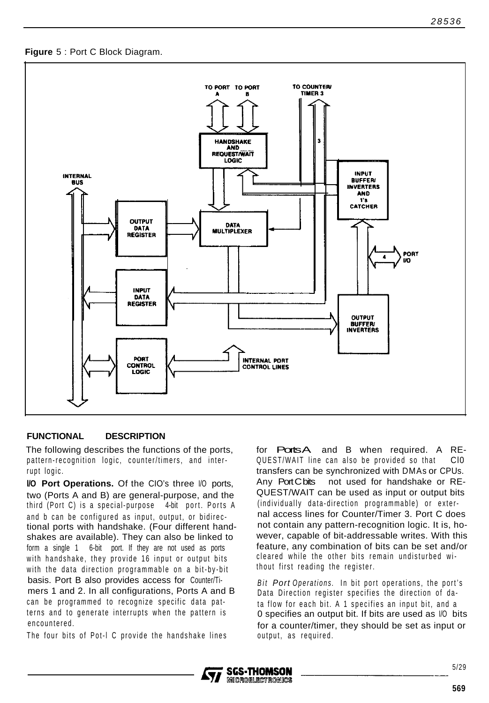



#### **FUNCTIONAL DESCRIPTION**

The following describes the functions of the ports, pattern-recognition logic, counter/timers, and interrupt logic.

**l/O Port Operations.** Of the CIO's three I/O ports, two (Ports A and B) are general-purpose, and the third (Port C) is a special-purpose 4-bit port. Ports A and b can be configured as input, output, or bidirectional ports with handshake. (Four different handshakes are available). They can also be linked to form a single 1 6-bit port. If they are not used as ports with handshake, they provide 16 input or output bits with the data direction programmable on a bit-by-bit basis. Port B also provides access for Counter/Timers 1 and 2. In all configurations, Ports A and B can be programmed to recognize specific data patterns and to generate interrupts when the pattern is encountered.

The four bits of Pot-l C provide the handshake lines

for **PortsA** and B when required. A RE-QUEST/WAIT line can also be provided so that Cl0 transfers can be synchronized with DMAs or CPUs. Any Port C bits not used for handshake or RE-QUEST/WAIT can be used as input or output bits (individually data-direction programmable) or external access lines for Counter/Timer 3. Port C does not contain any pattern-recognition logic. It is, however, capable of bit-addressable writes. With this feature, any combination of bits can be set and/or cleared while the other bits remain undisturbed without first reading the register.

*Bit Port Operations.* In bit port operations, the port's Data Direction register specifies the direction of data flow for each bit. A 1 specifies an input bit, and a 0 specifies an output bit. If bits are used as I/O bits for a counter/timer, they should be set as input or output, as required.

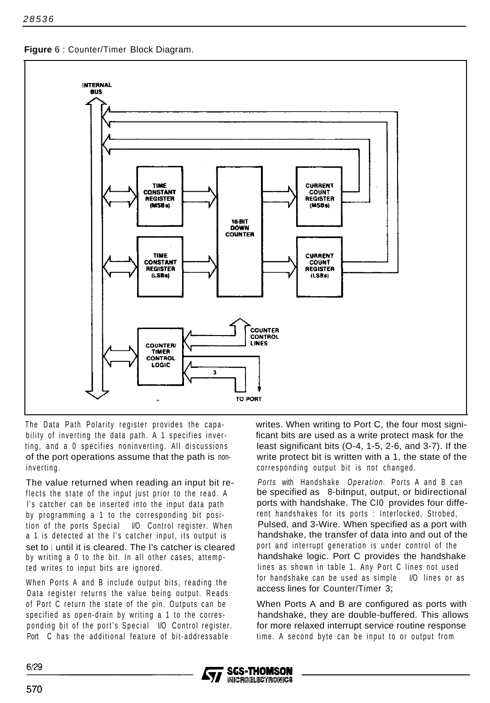**Figure** 6 : Counter/Timer Block Diagram.



The Data Path Polarity register provides the capability of inverting the data path. A 1 specifies inverting, and a 0 specifies noninverting. All discussions of the port operations assume that the path is noninverting.

The value returned when reading an input bit reflects the state of the input just prior to the read. A l's catcher can be inserted into the input data path by programming a 1 to the corresponding bit position of the ports Special I/O Control register. When a 1 is detected at the l's catcher input, its output is set to 1 until it is cleared. The I's catcher is cleared by writing a 0 to the bit. In all other cases, attempted writes to input bits are ignored.

When Ports A and B include output bits, reading the Data register returns the value being output. Reads of Port C return the state of the pin. Outputs can be specified as open-drain by writing a 1 to the corresponding bit of the port's Special I/O Control register. Port C has the additional feature of bit-addressable

writes. When writing to Port C, the four most significant bits are used as a write protect mask for the least significant bits (O-4, 1-5, 2-6, and 3-7). If the write protect bit is written with a 1, the state of the corresponding output bit is not changed.

*Ports* with Handshake *Operation.* Ports A and B can be specified as 8-bitnput, output, or bidirectional ports with handshake. The Cl0 provides four different handshakes for its ports : Interlocked, Strobed, Pulsed, and 3-Wire. When specified as a port with handshake, the transfer of data into and out of the port and interrupt generation is under control of the handshake logic. Port C provides the handshake lines as shown in table 1. Any Port C lines not used for handshake can be used as simple I/O lines or as access lines for Counter/Timer 3;

When Ports A and B are configured as ports with handshake, they are double-buffered. This allows for more relaxed interrupt service routine response time. A second byte can be input to or output from

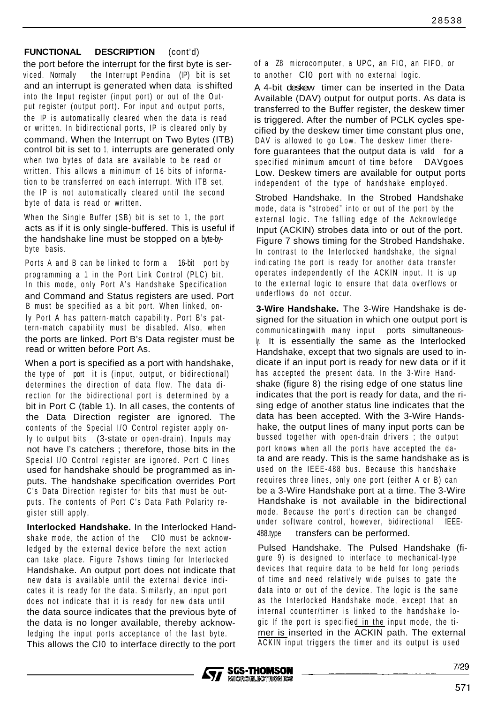#### **FUNCTIONAL DESCRIPTION** (cont'd)

the port before the interrupt for the first byte is serviced. Normally the Interrupt Pendina (IP) bit is set and an interrupt is generated when data is shifted into the Input register (input port) or out of the Output register (output port). For input and output ports, the IP is automatically cleared when the data is read or written. In bidirectional ports, IP is cleared only by command. When the Interrupt on Two Bytes (ITB) control bit is set to 1, interrupts are generated only when two bytes of data are available to be read or written. This allows a minimum of 16 bits of information to be transferred on each interrupt. With ITB set, the IP is not automatically cleared until the second byte of data is read or written.

When the Single Buffer (SB) bit is set to 1, the port acts as if it is only single-buffered. This is useful if the handshake line must be stopped on a byte-bybyte basis.

Ports A and B can be linked to form a 16-bit port by programming a 1 in the Port Link Control (PLC) bit. In this mode, only Port A's Handshake Specification and Command and Status registers are used. Port B must be specified as a bit port. When linked, only Port A has pattern-match capability. Port B's pattern-match capability must be disabled. Also, when the ports are linked. Port B's Data register must be read or written before Port As.

When a port is specified as a port with handshake, the type of port it is (input, output, or bidirectional) determines the direction of data flow. The data direction for the bidirectional port is determined by a bit in Port C (table 1). In all cases, the contents of the Data Direction register are ignored. The contents of the Special I/O Control register apply only to output bits (3-state or open-drain). Inputs may not have l's catchers ; therefore, those bits in the Special I/O Control register are ignored. Port C lines used for handshake should be programmed as inputs. The handshake specification overrides Port C's Data Direction register for bits that must be outputs. The contents of Port C's Data Path Polarity register still apply.

**Interlocked Handshake.** In the Interlocked Handshake mode, the action of the Cl0 must be acknowledged by the external device before the next action can take place. Figure 7shows timing for Interlocked Handshake. An output port does not indicate that new data is available until the external device indicates it is ready for the data. Similarly, an input port does not indicate that it is ready for new data until the data source indicates that the previous byte of the data is no longer available, thereby acknowledging the input ports acceptance of the last byte. This allows the Cl0 to interface directly to the port

of a Z8 microcomputer, a UPC, an FIO, an FIFO, or to another Cl0 port with no external logic.

A 4-bit deskew timer can be inserted in the Data Available (DAV) output for output ports. As data is transferred to the Buffer register, the deskew timer is triggered. After the number of PCLK cycles specified by the deskew timer time constant plus one, DAV is allowed to go Low. The deskew timer therefore guarantees that the output data is valid for a specified minimum amount of time before DAVgoes Low. Deskew timers are available for output ports independent of the type of handshake employed.

Strobed Handshake. In the Strobed Handshake mode, data is "strobed" into or out of the port by the external logic. The falling edge of the Acknowledge Input (ACKIN) strobes data into or out of the port. Figure 7 shows timing for the Strobed Handshake. In contrast to the Interlocked handshake, the signal indicating the port is ready for another data transfer operates independently of the ACKIN input. It is up to the external logic to ensure that data overflows or underflows do not occur.

**3-Wire Handshake.** The 3-Wire Handshake is designed for the situation in which one output port is communicatingwith many input ports simultaneous-**If is essentially the same as the Interlocked** Handshake, except that two signals are used to indicate if an input port is ready for new data or if it has accepted the present data. In the 3-Wire Handshake (figure 8) the rising edge of one status line indicates that the port is ready for data, and the rising edge of another status line indicates that the data has been accepted. With the 3-Wire Handshake, the output lines of many input ports can be bussed together with open-drain drivers ; the output port knows when all the ports have accepted the data and are ready. This is the same handshake as is used on the IEEE-488 bus. Because this handshake requires three lines, only one port (either A or B) can be a 3-Wire Handshake port at a time. The 3-Wire Handshake is not available in the bidirectional mode. Because the port's direction can be changed under software control, however, bidirectional IEEE-488.type transfers can be performed.

Pulsed Handshake. The Pulsed Handshake (figure 9) is designed to interface to mechanical-type devices that require data to be held for long periods of time and need relatively wide pulses to gate the data into or out of the device. The logic is the same as the Interlocked Handshake mode, except that an internal counter/timer is linked to the handshake logic If the port is specified in the input mode, the timer is inserted in the ACKIN path. The external ACKIN input triggers the timer and its output is used

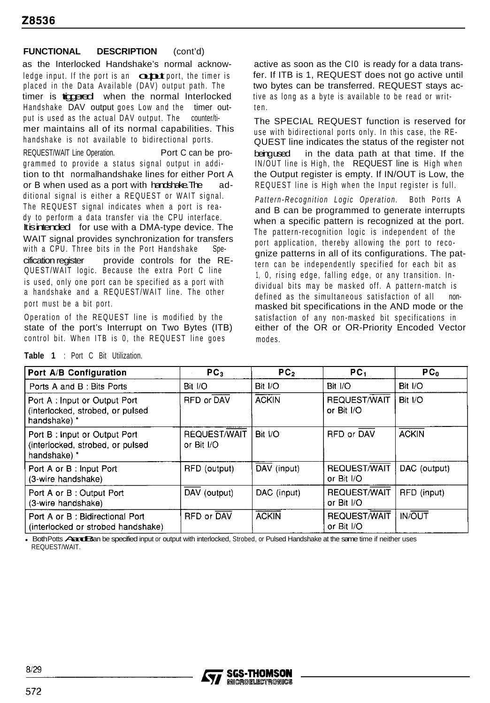### **FUNCTIONAL DESCRIPTION** (cont'd)

as the Interlocked Handshake's normal acknowledge input. If the port is an  $\overline{\text{cutoff}}$  port, the timer is placed in the Data Available (DAV) output path. The timer is tippered when the normal Interlocked Handshake DAV output goes Low and the timer output is used as the actual DAV output. The counter/timer maintains all of its normal capabilities. This handshake is not available to bidirectional ports. REQUEST/WAIT Line Operation. Port C can be programmed to provide a status signal output in addition to tht normalhandshake lines for either Port A or B when used as a port with handshake. The additional signal is either a REQUEST or WAIT signal. The REQUEST signal indicates when a port is ready to perform a data transfer via the CPU interface. It is intended for use with a DMA-type device. The WAIT signal provides synchronization for transfers with a CPU. Three bits in the Port Handshake Specification register provide controls for the RE-QUEST/WAIT logic. Because the extra Port C line is used, only one port can be specified as a port with a handshake and a REQUEST/WAIT line. The other port must be a bit port.

Operation of the REQUEST line is modified by the state of the port's Interrupt on Two Bytes (ITB) control bit. When ITB is 0, the REQUEST line goes

active as soon as the Cl0 is ready for a data transfer. If ITB is 1, REQUEST does not go active until two bytes can be transferred. REQUEST stays active as long as a byte is available to be read or written.

The SPECIAL REQUEST function is reserved for use with bidirectional ports only. In this case, the RE-QUEST line indicates the status of the register not being used in the data path at that time. If the IN/OUT line is High, the REQUEST line is High when the Output register is empty. If IN/OUT is Low, the REQUEST line is High when the Input register is full.

*Pattern-Recognition Logic Operation.* Both Ports A and B can be programmed to generate interrupts when a specific pattern is recognized at the port. The pattern-recognition logic is independent of the port application, thereby allowing the port to recognize patterns in all of its configurations. The pattern can be independently specified for each bit as 1, 0, rising edge, falling edge, or any transition. Individual bits may be masked off. A pattern-match is defined as the simultaneous satisfaction of all nonmasked bit specifications in the AND mode or the satisfaction of any non-masked bit specifications in either of the OR or OR-Priority Encoded Vector modes.

| Port A/B Configuration                                                            | PC <sub>3</sub>            | PC <sub>2</sub> | PC <sub>1</sub>                   | PC <sub>0</sub> |
|-----------------------------------------------------------------------------------|----------------------------|-----------------|-----------------------------------|-----------------|
| Ports A and B: Bits Ports                                                         | Bit I/O                    | Bit I/O         | Bit I/O                           | Bit I/O         |
| Port A: Input or Output Port<br>(interlocked, strobed, or pulsed<br>handshake) *  | RFD or DAV                 | <b>ACKIN</b>    | REQUEST/WAIT<br>or Bit I/O        | Bit I/O         |
| Port B : Input or Output Port<br>(interlocked, strobed, or pulsed<br>handshake) * | REQUEST/WAIT<br>or Bit I/O | Bit I/O         | RFD or DAV                        | <b>ACKIN</b>    |
| Port A or B: Input Port<br>(3-wire handshake)                                     | RFD (output)               | DAV (input)     | <b>REQUEST/WAIT</b><br>or Bit I/O | DAC (output)    |
| Port A or B: Output Port<br>(3-wire handshake)                                    | DAV (output)               | DAC (input)     | <b>REQUEST/WAIT</b><br>or Bit I/O | RFD (input)     |
| Port A or B : Bidirectional Port<br>(interlocked or strobed handshake)            | RFD or DAV                 | <b>ACKIN</b>    | <b>REQUEST/WAIT</b><br>or Bit I/O | <b>IN/OUT</b>   |

**Table 1** : Port C Bit Utilization.

• Both Potts Annut B and be specified input or output with interlocked. Strobed, or Pulsed Handshake at the same time if neither uses REQUEST/WAIT.

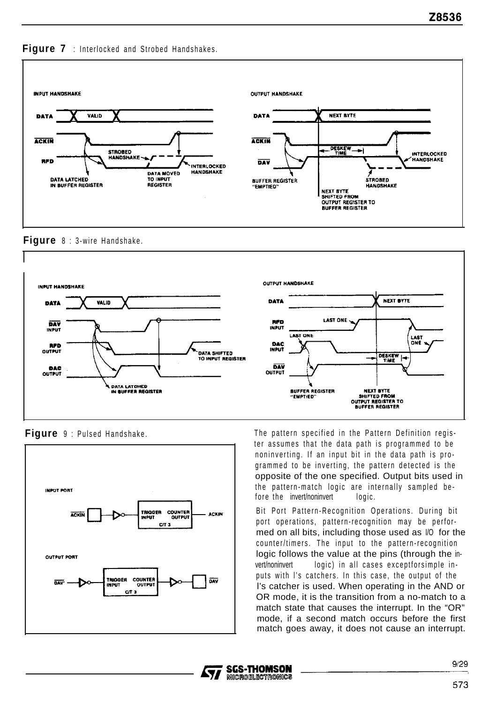



**Figure** 8 : 3-wire Handshake.





**Figure** 9 : Pulsed Handshake. The pattern specified in the Pattern Definition register assumes that the data path is programmed to be noninverting. If an input bit in the data path is programmed to be inverting, the pattern detected is the opposite of the one specified. Output bits used in the pattern-match logic are internally sampled before the invert/noninvert logic.

> Bit Port Pattern-Recognition Operations. During bit port operations, pattern-recognition may be performed on all bits, including those used as I/O for the counter/timers. The input to the pattern-recognition logic follows the value at the pins (through the invert/noninvert logic) in all cases exceptforsimple inputs with l's catchers. In this case, the output of the l's catcher is used. When operating in the AND or OR mode, it is the transition from a no-match to a match state that causes the interrupt. In the "OR" mode, if a second match occurs before the first match goes away, it does not cause an interrupt.

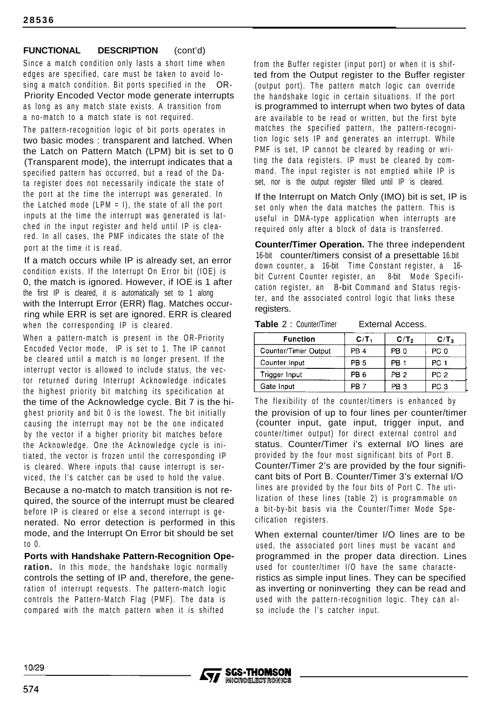## **FUNCTIONAL DESCRIPTION** (cont'd)

Since a match condition only lasts a short time when edges are specified, care must be taken to avoid losing a match condition. Bit ports specified in the OR-Priority Encoded Vector mode generate interrupts as long as any match state exists. A transition from a no-match to a match state is not required.

The pattern-recognition logic of bit ports operates in two basic modes : transparent and latched. When the Latch on Pattern Match (LPM) bit is set to 0 (Transparent mode), the interrupt indicates that a specified pattern has occurred, but a read of the Data register does not necessarily indicate the state of the port at the time the interrupt was generated. In the Latched mode (LPM  $=$  I), the state of all the port inputs at the time the interrupt was generated is latched in the input register and held until IP is cleared. In all cases, the PMF indicates the state of the port at the time it is read.

If a match occurs while IP is already set, an error condition exists. If the Interrupt On Error bit (IOE) is 0, the match is ignored. However, if IOE is 1 after the first IP is cleared, it is automatically set to 1 along with the Interrupt Error (ERR) flag. Matches occurring while ERR is set are ignored. ERR is cleared when the corresponding IP is cleared.

When a pattern-match is present in the OR-Priority Encoded Vector mode, IP is set to 1. The IP cannot be cleared until a match is no longer present. If the interrupt vector is allowed to include status, the vector returned during Interrupt Acknowledge indicates the highest priority bit matching its specification at the time of the Acknowledge cycle. Bit 7 is the highest priority and bit 0 is the lowest. The bit initially causing the interrupt may not be the one indicated by the vector if a higher priority bit matches before the Acknowledge. One the Acknowledge cycle is initiated, the vector is frozen until the corresponding IP is cleared. Where inputs that cause interrupt is serviced, the l's catcher can be used to hold the value.

Because a no-match to match transition is not required, the source of the interrupt must be cleared before IP is cleared or else a second interrupt is generated. No error detection is performed in this mode, and the Interrupt On Error bit should be set to 0.

**Ports with Handshake Pattern-Recognition Operation.** In this mode, the handshake logic normally controls the setting of IP and, therefore, the generation of interrupt requests. The pattern-match logic controls the Pattern-Match Flag (PMF). The data is compared with the match pattern when it is shifted

from the Buffer register (input port) or when it is shifted from the Output register to the Buffer register (output port). The pattern match logic can override the handshake logic in certain situations. If the port is programmed to interrupt when two bytes of data are available to be read or written, but the first byte matches the specified pattern, the pattern-recognition logic sets IP and generates an interrupt. While PMF is set, IP cannot be cleared by reading or writing the data registers. IP must be cleared by command. The input register is not emptied while IP is set, nor is the output register filled until IP is cleared.

If the Interrupt on Match Only (IMO) bit is set, IP is set only when the data matches the pattern. This is useful in DMA-type application when interrupts are required only after a block of data is transferred.

**Counter/Timer Operation.** The three independent 16-bit counter/timers consist of a presettable 16.bit down counter, a 16-bit Time Constant register, a 16 bit Current Counter register, an 8-bit Mode Specification register, an 8-bit Command and Status register, and the associated control logic that links these registers. **Counter/Timer Operation.** The three indep<br>16-bit counter/timers consist of a presettabl<br>down counter, a 16-bit Time Constant register,<br>bit Current Counter register, an 8-bit Mode<br>cation register, an 8-bit Command and Stat

#### **Table** 2 : Counter/Timer External Access.

| Function             | C/T <sub>1</sub> | C/T <sub>2</sub> | $C/T_3$         |
|----------------------|------------------|------------------|-----------------|
| Counter/Timer Output | PB <sub>4</sub>  | PB <sub>0</sub>  | PC 0            |
| Counter Input        | PB <sub>5</sub>  | PB <sub>1</sub>  | PC <sub>1</sub> |
| Trigger Input        | PB <sub>6</sub>  | PB <sub>2</sub>  | PC <sub>2</sub> |
| Gate Input           | ∽в               | PB 3             | PC 3            |

The flexibility of the counter/timers is enhanced by the provision of up to four lines per counter/timer (counter input, gate input, trigger input, and counter/timer output) for direct external control and status. Counter/Timer i's external I/O lines are provided by the four most significant bits of Port B. Counter/Timer 2's are provided by the four significant bits of Port B. Counter/Timer 3's external I/O lines are provided by the four bits of Port C. The utilization of these lines (table 2) is programmable on a bit-by-bit basis via the Counter/Timer Mode Specification registers.

When external counter/timer I/O lines are to be used, the associated port lines must be vacant and programmed in the proper data direction. Lines used for counter/timer I/O have the same characteristics as simple input lines. They can be specified as inverting or noninverting they can be read and used with the pattern-recognition logic. They can also include the l's catcher input.

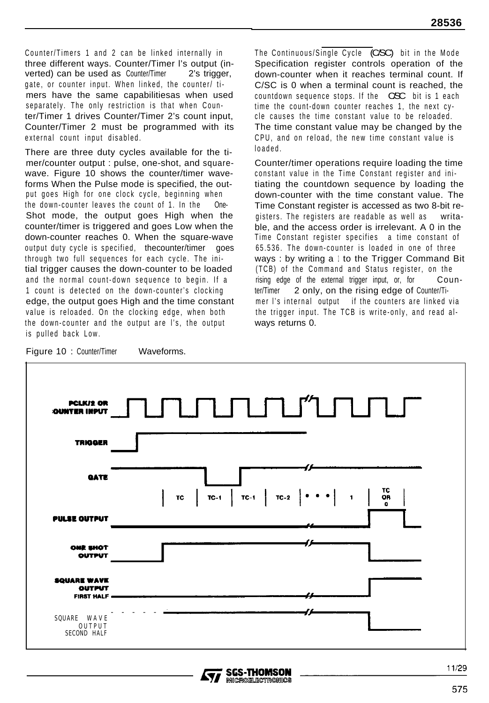Counter/Timers 1 and 2 can be linked internally in three different ways. Counter/Timer l's output (inverted) can be used as Counter/Timer 2's trigger, gate, or counter input. When linked, the counter/ timers have the same capabilitiesas when used separately. The only restriction is that when Counter/Timer 1 drives Counter/Timer 2's count input, Counter/Timer 2 must be programmed with its external count input disabled.

There are three duty cycles available for the timer/counter output : pulse, one-shot, and squarewave. Figure 10 shows the counter/timer waveforms When the Pulse mode is specified, the output goes High for one clock cycle, beginning when the down-counter leaves the count of 1. In the One-Shot mode, the output goes High when the counter/timer is triggered and goes Low when the down-counter reaches 0. When the square-wave output duty cycle is specified, thecounter/timer goes through two full sequences for each cycle. The initial trigger causes the down-counter to be loaded and the normal count-down sequence to begin. If a 1 count is detected on the down-counter's clocking edge, the output goes High and the time constant value is reloaded. On the clocking edge, when both the down-counter and the output are l's, the output is pulled back Low.

The Continuous/Single Cycle (C/SC) bit in the Mode Specification register controls operation of the down-counter when it reaches terminal count. If C/SC is 0 when a terminal count is reached, the countdown sequence stops. If the CSC bit is 1 each time the count-down counter reaches 1, the next cycle causes the time constant value to be reloaded. The time constant value may be changed by the CPU, and on reload, the new time constant value is loaded.

Counter/timer operations require loading the time constant value in the Time Constant register and initiating the countdown sequence by loading the down-counter with the time constant value. The Time Constant register is accessed as two 8-bit registers. The registers are readable as well as writable, and the access order is irrelevant. A 0 in the Time Constant register specifies a time constant of 65.536. The down-counter is loaded in one of three ways : by writing a 1 to the Trigger Command Bit (TCB) of the Command and Status register, on the rising edge of the external trigger input, or, for Counter/Timer 2 only, on the rising edge of Counter/Timer l's internal output if the counters are linked via the trigger input. The TCB is write-only, and read always returns 0.



Figure 10 : Counter/Timer Waveforms.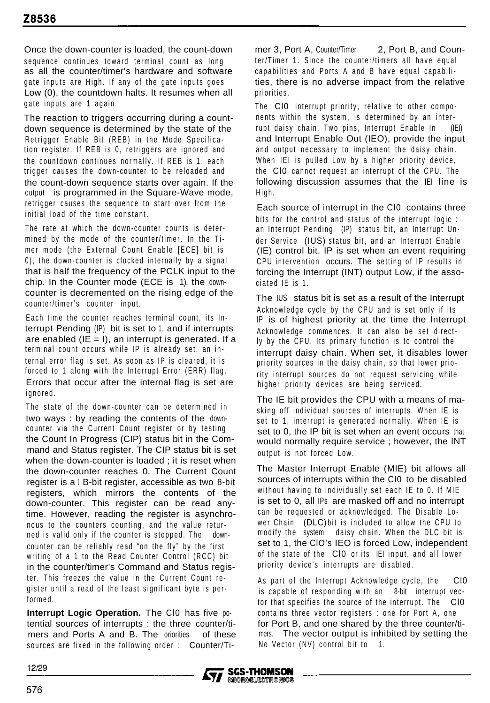Once the down-counter is loaded, the count-down sequence continues toward terminal count as long as all the counter/timer's hardware and software gate inputs are High. If any of the gate inputs goes Low (0), the countdown halts. It resumes when all gate inputs are 1 again.

The reaction to triggers occurring during a countdown sequence is determined by the state of the Retrigger Enable Bit (REB) in the Mode Specification register. If REB is 0, retriggers are ignored and the countdown continues normally. If REB is 1, each trigger causes the down-counter to be reloaded and the count-down sequence starts over again. If the output is programmed in the Square-Wave mode, retrigger causes the sequence to start over from the initial load of the time constant.

The rate at which the down-counter counts is determined by the mode of the counter/timer. In the Timer mode (the External Count Enable [ECE] bit is 0), the down-counter is clocked internally by a signal that is half the frequency of the PCLK input to the chip. In the Counter mode (ECE is 1), the downcounter is decremented on the rising edge of the counter/timer's counter input.

Each time the counter reaches terminal count, its Interrupt Pending (IP) bit is set to 1, and if interrupts are enabled  $I(E = I)$ , an interrupt is generated. If a terminal count occurs while IP is already set, an internal error flag is set. As soon as IP is cleared, it is forced to 1 along with the Interrupt Error (ERR) flag. Errors that occur after the internal flag is set are ignored.

The state of the down-counter can be determined in two ways : by reading the contents of the downcounter via the Current Count register or by testing the Count In Progress (CIP) status bit in the Command and Status register. The CIP status bit is set when the down-counter is loaded ; it is reset when the down-counter reaches 0. The Current Count register is a  $1$  B-bit register, accessible as two 8-bit registers, which mirrors the contents of the down-counter. This register can be read anytime. However, reading the register is asynchronous to the counters counting, and the value returned is valid only if the counter is stopped. The downcounter can be reliably read "on the fly" by the first writing of a 1 to the Read Counter Control (RCC) bit in the counter/timer's Command and Status register. This freezes the value in the Current Count register until a read of the least significant byte is performed.

**Interrupt Logic Operation.** The Cl0 has five potential sources of interrupts : the three counter/timers and Ports A and B. The oriorities of these sources are fixed in the following order : Counter/Timer 3, Port A, Counter/Timer 2, Port B, and Counter/Timer 1. Since the counter/timers all have equal capabilities and Ports A and B have equal capabilities, there is no adverse impact from the relative priorities.

The Cl0 interrupt priority, relative to other components within the system, is determined by an interrupt daisy chain. Two pins, Interrupt Enable In (IEI) and Interrupt Enable Out (IEO), provide the input and output necessary to implement the daisy chain. When IEI is pulled Low by a higher priority device. the Cl0 cannot request an interrupt of the CPU. The following discussion assumes that the IEI line is High.

Each source of interrupt in the Cl0 contains three bits for the control and status of the interrupt logic : an Interrupt Pending (IP) status bit, an Interrupt Under Service (IUS) status bit, and an Interrupt Enable (IE) control bit. IP is set when an event requiring CPU intervention occurs. The setting of IP results in forcing the Interrupt (INT) output Low, if the associated IE is 1.

The IUS status bit is set as a result of the Interrupt Acknowledge cycle by the CPU and is set only if its IP is of highest priority at the time the Interrupt Acknowledge commences. It can also be set directly by the CPU. Its primary function is to control the interrupt daisy chain. When set, it disables lower priority sources in the daisy chain, so that lower priority interrupt sources do not request servicing while higher priority devices are being serviced.

The IE bit provides the CPU with a means of masking off individual sources of interrupts. When IE is set to 1, interrupt is generated normally. When IE is set to 0, the IP bit is set when an event occurs that would normally require service ; however, the INT output is not forced Low.

The Master Interrupt Enable (MIE) bit allows all sources of interrupts within the Cl0 to be disabled without having to individually set each IE to 0. If MIE is set to 0, all IPs are masked off and no interrupt can be requested or acknowledged. The Disable Lower Chain (DLC) bit is included to allow the CPU to modify the system daisy chain. When the DLC bit is set to 1, the ClO's IEO is forced Low, independent of the state of the Cl0 or its IEI input, and all lower priority device's interrupts are disabled.

As part of the Interrupt Acknowledge cycle, the Cl0 is capable of responding with an 8-bit interrupt vector that specifies the source of the interrupt. The Cl0 contains three vector registers : one for Port A, one for Port B, and one shared by the three counter/timers. The vector output is inhibited by setting the No Vector (NV) control bit to 1.